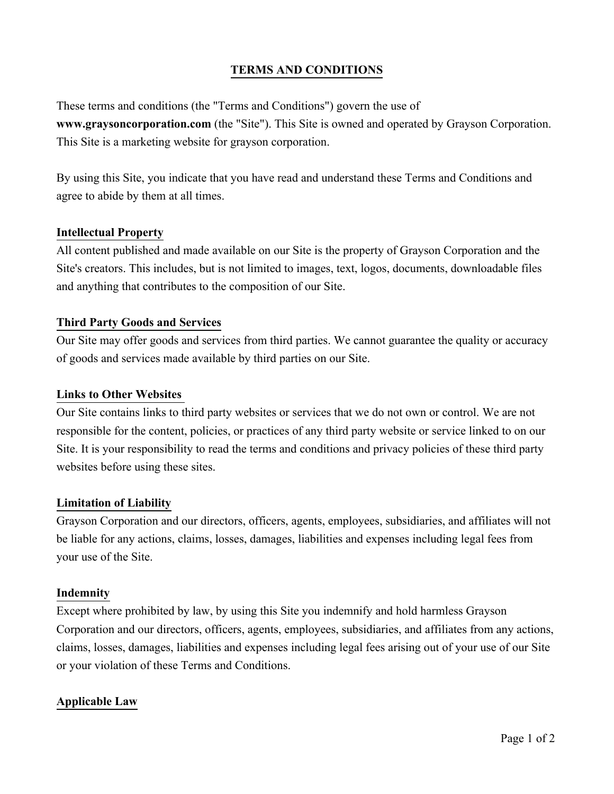# **TERMS AND CONDITIONS**

These terms and conditions (the "Terms and Conditions") govern the use of **www.graysoncorporation.com** (the "Site"). This Site is owned and operated by Grayson Corporation. This Site is a marketing website for grayson corporation.

By using this Site, you indicate that you have read and understand these Terms and Conditions and agree to abide by them at all times.

## **Intellectual Property**

All content published and made available on our Site is the property of Grayson Corporation and the Site's creators. This includes, but is not limited to images, text, logos, documents, downloadable files and anything that contributes to the composition of our Site.

## **Third Party Goods and Services**

Our Site may offer goods and services from third parties. We cannot guarantee the quality or accuracy of goods and services made available by third parties on our Site.

#### **Links to Other Websites**

Our Site contains links to third party websites or services that we do not own or control. We are not responsible for the content, policies, or practices of any third party website or service linked to on our Site. It is your responsibility to read the terms and conditions and privacy policies of these third party websites before using these sites.

#### **Limitation of Liability**

Grayson Corporation and our directors, officers, agents, employees, subsidiaries, and affiliates will not be liable for any actions, claims, losses, damages, liabilities and expenses including legal fees from your use of the Site.

#### **Indemnity**

Except where prohibited by law, by using this Site you indemnify and hold harmless Grayson Corporation and our directors, officers, agents, employees, subsidiaries, and affiliates from any actions, claims, losses, damages, liabilities and expenses including legal fees arising out of your use of our Site or your violation of these Terms and Conditions.

#### **Applicable Law**